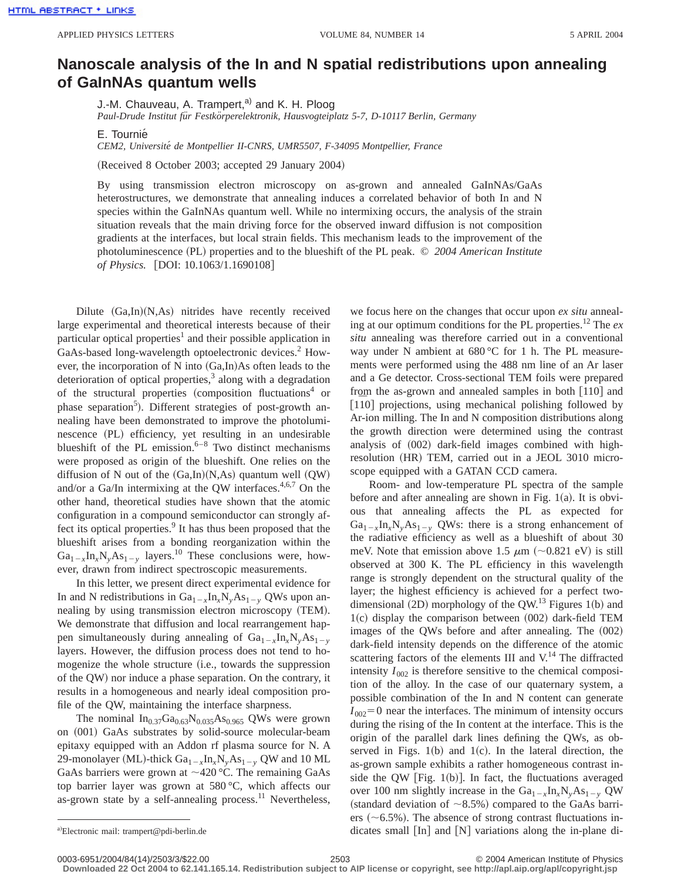## **Nanoscale analysis of the In and N spatial redistributions upon annealing of GaInNAs quantum wells**

J.-M. Chauveau, A. Trampert,<sup>a)</sup> and K. H. Ploog Paul-Drude Institut für Festkörperelektronik, Hausvogteiplatz 5-7, D-10117 Berlin, Germany

E. Tournie´

*CEM2, Universite´ de Montpellier II-CNRS, UMR5507, F-34095 Montpellier, France*

(Received 8 October 2003; accepted 29 January 2004)

By using transmission electron microscopy on as-grown and annealed GaInNAs/GaAs heterostructures, we demonstrate that annealing induces a correlated behavior of both In and N species within the GaInNAs quantum well. While no intermixing occurs, the analysis of the strain situation reveals that the main driving force for the observed inward diffusion is not composition gradients at the interfaces, but local strain fields. This mechanism leads to the improvement of the photoluminescence (PL) properties and to the blueshift of the PL peak. © 2004 American Institute *of Physics.* [DOI: 10.1063/1.1690108]

Dilute  $(Ga, In)(N, As)$  nitrides have recently received large experimental and theoretical interests because of their particular optical properties<sup>1</sup> and their possible application in GaAs-based long-wavelength optoelectronic devices.<sup>2</sup> However, the incorporation of  $N$  into  $(Ga,In)As$  often leads to the deterioration of optical properties, $3$  along with a degradation of the structural properties (composition fluctuations<sup>4</sup> or phase separation<sup>5</sup>). Different strategies of post-growth annealing have been demonstrated to improve the photoluminescence (PL) efficiency, yet resulting in an undesirable blueshift of the PL emission.<sup>6–8</sup> Two distinct mechanisms were proposed as origin of the blueshift. One relies on the diffusion of N out of the  $(Ga,In)(N,As)$  quantum well  $(QW)$ and/or a Ga/In intermixing at the QW interfaces. $4,6,7$  On the other hand, theoretical studies have shown that the atomic configuration in a compound semiconductor can strongly affect its optical properties.<sup>9</sup> It has thus been proposed that the blueshift arises from a bonding reorganization within the  $Ga_{1-x}In_xN_yAs_{1-y}$  layers.<sup>10</sup> These conclusions were, however, drawn from indirect spectroscopic measurements.

In this letter, we present direct experimental evidence for In and N redistributions in  $Ga_{1-x}In_xN_yAs_{1-y}$  QWs upon annealing by using transmission electron microscopy (TEM). We demonstrate that diffusion and local rearrangement happen simultaneously during annealing of  $Ga_{1-x}In_xN_yAs_{1-y}$ layers. However, the diffusion process does not tend to homogenize the whole structure (i.e., towards the suppression of the QW) nor induce a phase separation. On the contrary, it results in a homogeneous and nearly ideal composition profile of the QW, maintaining the interface sharpness.

The nominal  $In_{0.37}Ga_{0.63}N_{0.035}As_{0.965}$  QWs were grown on (001) GaAs substrates by solid-source molecular-beam epitaxy equipped with an Addon rf plasma source for N. A 29-monolayer (ML)-thick  $Ga_{1-x}In_xN_vAs_{1-v}$  QW and 10 ML GaAs barriers were grown at  $\sim$ 420 °C. The remaining GaAs top barrier layer was grown at 580 °C, which affects our as-grown state by a self-annealing process. $11$  Nevertheless, we focus here on the changes that occur upon *ex situ* annealing at our optimum conditions for the PL properties.12 The *ex situ* annealing was therefore carried out in a conventional way under N ambient at  $680^{\circ}$ C for 1 h. The PL measurements were performed using the 488 nm line of an Ar laser and a Ge detector. Cross-sectional TEM foils were prepared from the as-grown and annealed samples in both  $[110]$  and  $[110]$  projections, using mechanical polishing followed by Ar-ion milling. The In and N composition distributions along the growth direction were determined using the contrast analysis of  $(002)$  dark-field images combined with highresolution (HR) TEM, carried out in a JEOL 3010 microscope equipped with a GATAN CCD camera.

Room- and low-temperature PL spectra of the sample before and after annealing are shown in Fig.  $1(a)$ . It is obvious that annealing affects the PL as expected for  $Ga_{1-x}In_xN_vAs_{1-v}$  QWs: there is a strong enhancement of the radiative efficiency as well as a blueshift of about 30 meV. Note that emission above 1.5  $\mu$ m (~0.821 eV) is still observed at 300 K. The PL efficiency in this wavelength range is strongly dependent on the structural quality of the layer; the highest efficiency is achieved for a perfect twodimensional  $(2D)$  morphology of the QW.<sup>13</sup> Figures 1(b) and  $1(c)$  display the comparison between  $(002)$  dark-field TEM images of the QWs before and after annealing. The  $(002)$ dark-field intensity depends on the difference of the atomic scattering factors of the elements III and  $V$ .<sup>14</sup> The diffracted intensity  $I_{002}$  is therefore sensitive to the chemical composition of the alloy. In the case of our quaternary system, a possible combination of the In and N content can generate  $I_{002}$ =0 near the interfaces. The minimum of intensity occurs during the rising of the In content at the interface. This is the origin of the parallel dark lines defining the QWs, as observed in Figs.  $1(b)$  and  $1(c)$ . In the lateral direction, the as-grown sample exhibits a rather homogeneous contrast inside the QW [Fig. 1(b)]. In fact, the fluctuations averaged over 100 nm slightly increase in the  $Ga_{1-x}In_{x}N_{y}As_{1-y}$  QW (standard deviation of  $\sim$ 8.5%) compared to the GaAs barriers  $({\sim}6.5\%)$ . The absence of strong contrast fluctuations indicates small  $\lceil \ln \rceil$  and  $\lceil N \rceil$  variations along the in-plane di-

a)Electronic mail: trampert@pdi-berlin.de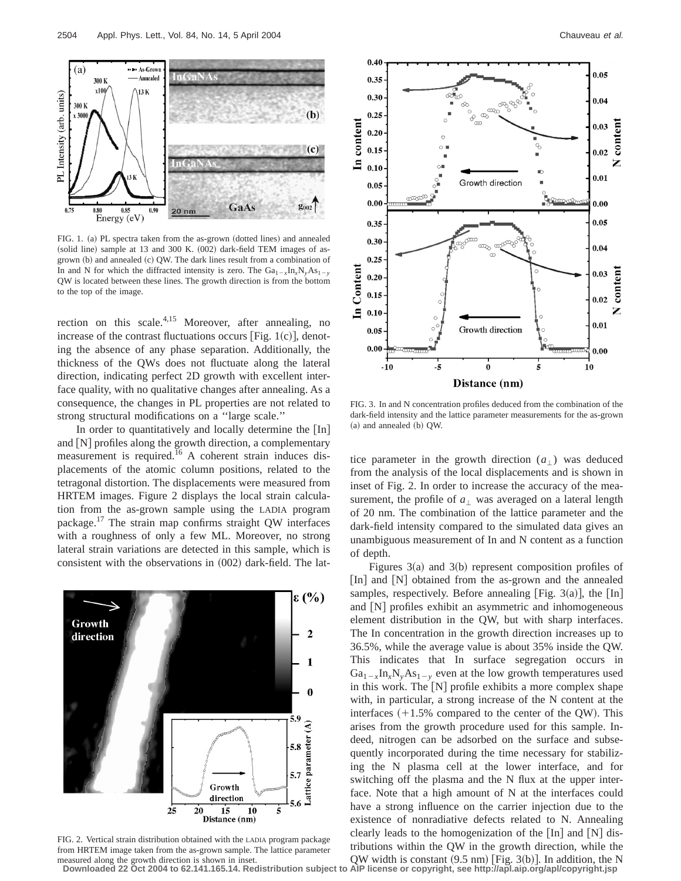

FIG. 1. (a) PL spectra taken from the as-grown (dotted lines) and annealed (solid line) sample at 13 and 300 K.  $(002)$  dark-field TEM images of asgrown  $(b)$  and annealed  $(c)$  QW. The dark lines result from a combination of In and N for which the diffracted intensity is zero. The  $Ga_{1-x}In_xN_yAs_{1-y}$ QW is located between these lines. The growth direction is from the bottom to the top of the image.

rection on this scale.<sup>4,15</sup> Moreover, after annealing, no increase of the contrast fluctuations occurs [Fig.  $1(c)$ ], denoting the absence of any phase separation. Additionally, the thickness of the QWs does not fluctuate along the lateral direction, indicating perfect 2D growth with excellent interface quality, with no qualitative changes after annealing. As a consequence, the changes in PL properties are not related to strong structural modifications on a ''large scale.''

In order to quantitatively and locally determine the  $[In]$ and  $[N]$  profiles along the growth direction, a complementary measurement is required.<sup>16</sup> A coherent strain induces displacements of the atomic column positions, related to the tetragonal distortion. The displacements were measured from HRTEM images. Figure 2 displays the local strain calculation from the as-grown sample using the LADIA program package.17 The strain map confirms straight QW interfaces with a roughness of only a few ML. Moreover, no strong lateral strain variations are detected in this sample, which is consistent with the observations in  $(002)$  dark-field. The lat-



FIG. 2. Vertical strain distribution obtained with the LADIA program package from HRTEM image taken from the as-grown sample. The lattice parameter



FIG. 3. In and N concentration profiles deduced from the combination of the dark-field intensity and the lattice parameter measurements for the as-grown  $(a)$  and annealed  $(b)$  QW.

tice parameter in the growth direction  $(a_1)$  was deduced from the analysis of the local displacements and is shown in inset of Fig. 2. In order to increase the accuracy of the measurement, the profile of  $a_{\perp}$  was averaged on a lateral length of 20 nm. The combination of the lattice parameter and the dark-field intensity compared to the simulated data gives an unambiguous measurement of In and N content as a function of depth.

Figures  $3(a)$  and  $3(b)$  represent composition profiles of  $\lbrack$  In] and  $\lbrack$  N] obtained from the as-grown and the annealed samples, respectively. Before annealing [Fig. 3(a)], the  $[In]$ and  $[N]$  profiles exhibit an asymmetric and inhomogeneous element distribution in the QW, but with sharp interfaces. The In concentration in the growth direction increases up to 36.5%, while the average value is about 35% inside the QW. This indicates that In surface segregation occurs in  $Ga_{1-x}In_{x}N_{y}As_{1-y}$  even at the low growth temperatures used in this work. The  $[N]$  profile exhibits a more complex shape with, in particular, a strong increase of the N content at the interfaces  $(+1.5\%$  compared to the center of the QW). This arises from the growth procedure used for this sample. Indeed, nitrogen can be adsorbed on the surface and subsequently incorporated during the time necessary for stabilizing the N plasma cell at the lower interface, and for switching off the plasma and the N flux at the upper interface. Note that a high amount of N at the interfaces could have a strong influence on the carrier injection due to the existence of nonradiative defects related to N. Annealing clearly leads to the homogenization of the  $\lceil \text{In} \rceil$  and  $\lceil \text{N} \rceil$  distributions within the QW in the growth direction, while the

measured along the growth direction is shown in inset.<br>Downloaded 22 Oct 2004 to 62.141.165.14. Redistribution subject to AlP license or copyright, see http://apl.aip.org/apl/copyright.jsp